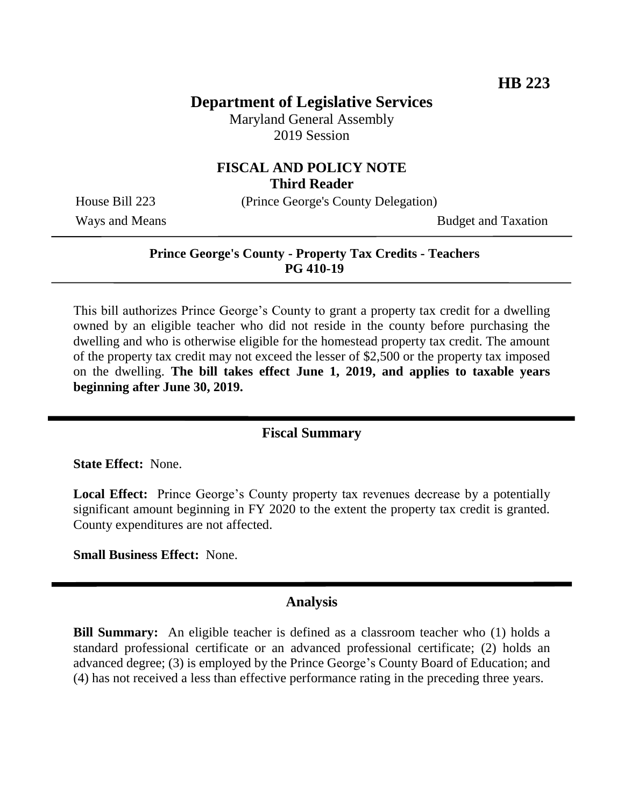## **Department of Legislative Services**

Maryland General Assembly 2019 Session

### **FISCAL AND POLICY NOTE Third Reader**

House Bill 223 (Prince George's County Delegation)

Ways and Means Budget and Taxation

### **Prince George's County - Property Tax Credits - Teachers PG 410-19**

This bill authorizes Prince George's County to grant a property tax credit for a dwelling owned by an eligible teacher who did not reside in the county before purchasing the dwelling and who is otherwise eligible for the homestead property tax credit. The amount of the property tax credit may not exceed the lesser of \$2,500 or the property tax imposed on the dwelling. **The bill takes effect June 1, 2019, and applies to taxable years beginning after June 30, 2019.**

### **Fiscal Summary**

**State Effect:** None.

**Local Effect:** Prince George's County property tax revenues decrease by a potentially significant amount beginning in FY 2020 to the extent the property tax credit is granted. County expenditures are not affected.

**Small Business Effect:** None.

#### **Analysis**

**Bill Summary:** An eligible teacher is defined as a classroom teacher who (1) holds a standard professional certificate or an advanced professional certificate; (2) holds an advanced degree; (3) is employed by the Prince George's County Board of Education; and (4) has not received a less than effective performance rating in the preceding three years.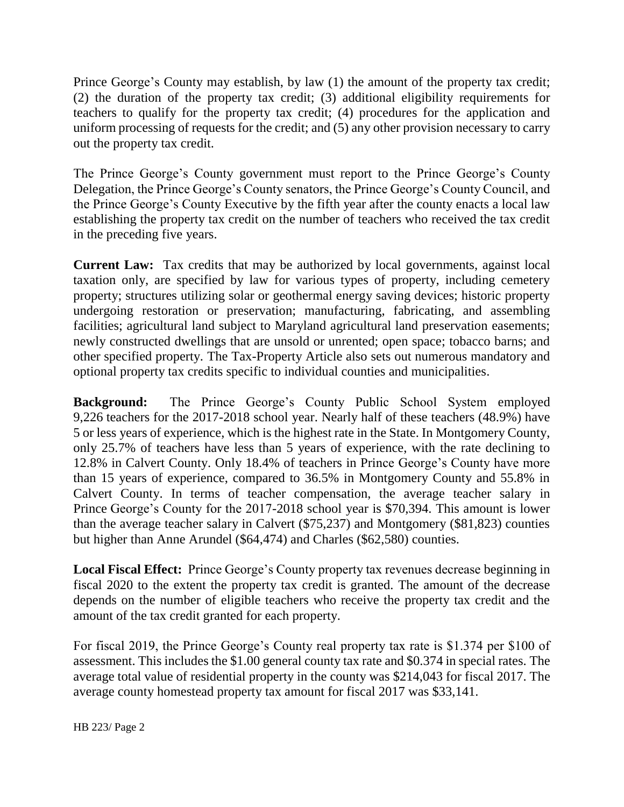Prince George's County may establish, by law (1) the amount of the property tax credit; (2) the duration of the property tax credit; (3) additional eligibility requirements for teachers to qualify for the property tax credit; (4) procedures for the application and uniform processing of requests for the credit; and (5) any other provision necessary to carry out the property tax credit.

The Prince George's County government must report to the Prince George's County Delegation, the Prince George's County senators, the Prince George's County Council, and the Prince George's County Executive by the fifth year after the county enacts a local law establishing the property tax credit on the number of teachers who received the tax credit in the preceding five years.

**Current Law:** Tax credits that may be authorized by local governments, against local taxation only, are specified by law for various types of property, including cemetery property; structures utilizing solar or geothermal energy saving devices; historic property undergoing restoration or preservation; manufacturing, fabricating, and assembling facilities; agricultural land subject to Maryland agricultural land preservation easements; newly constructed dwellings that are unsold or unrented; open space; tobacco barns; and other specified property. The Tax-Property Article also sets out numerous mandatory and optional property tax credits specific to individual counties and municipalities.

**Background:** The Prince George's County Public School System employed 9,226 teachers for the 2017-2018 school year. Nearly half of these teachers (48.9%) have 5 or less years of experience, which is the highest rate in the State. In Montgomery County, only 25.7% of teachers have less than 5 years of experience, with the rate declining to 12.8% in Calvert County. Only 18.4% of teachers in Prince George's County have more than 15 years of experience, compared to 36.5% in Montgomery County and 55.8% in Calvert County. In terms of teacher compensation, the average teacher salary in Prince George's County for the 2017-2018 school year is \$70,394. This amount is lower than the average teacher salary in Calvert (\$75,237) and Montgomery (\$81,823) counties but higher than Anne Arundel (\$64,474) and Charles (\$62,580) counties.

**Local Fiscal Effect:** Prince George's County property tax revenues decrease beginning in fiscal 2020 to the extent the property tax credit is granted. The amount of the decrease depends on the number of eligible teachers who receive the property tax credit and the amount of the tax credit granted for each property.

For fiscal 2019, the Prince George's County real property tax rate is \$1.374 per \$100 of assessment. This includes the \$1.00 general county tax rate and \$0.374 in special rates. The average total value of residential property in the county was \$214,043 for fiscal 2017. The average county homestead property tax amount for fiscal 2017 was \$33,141.